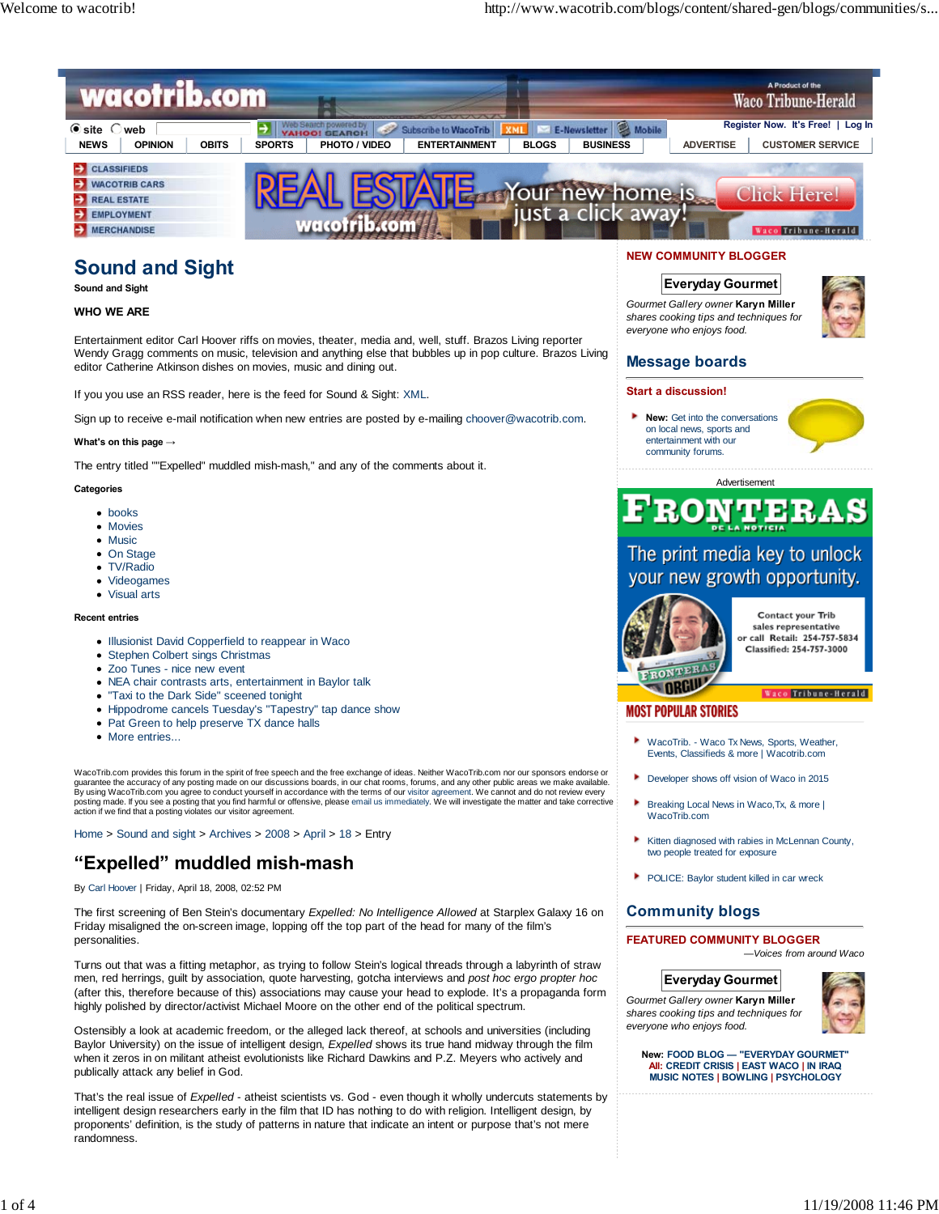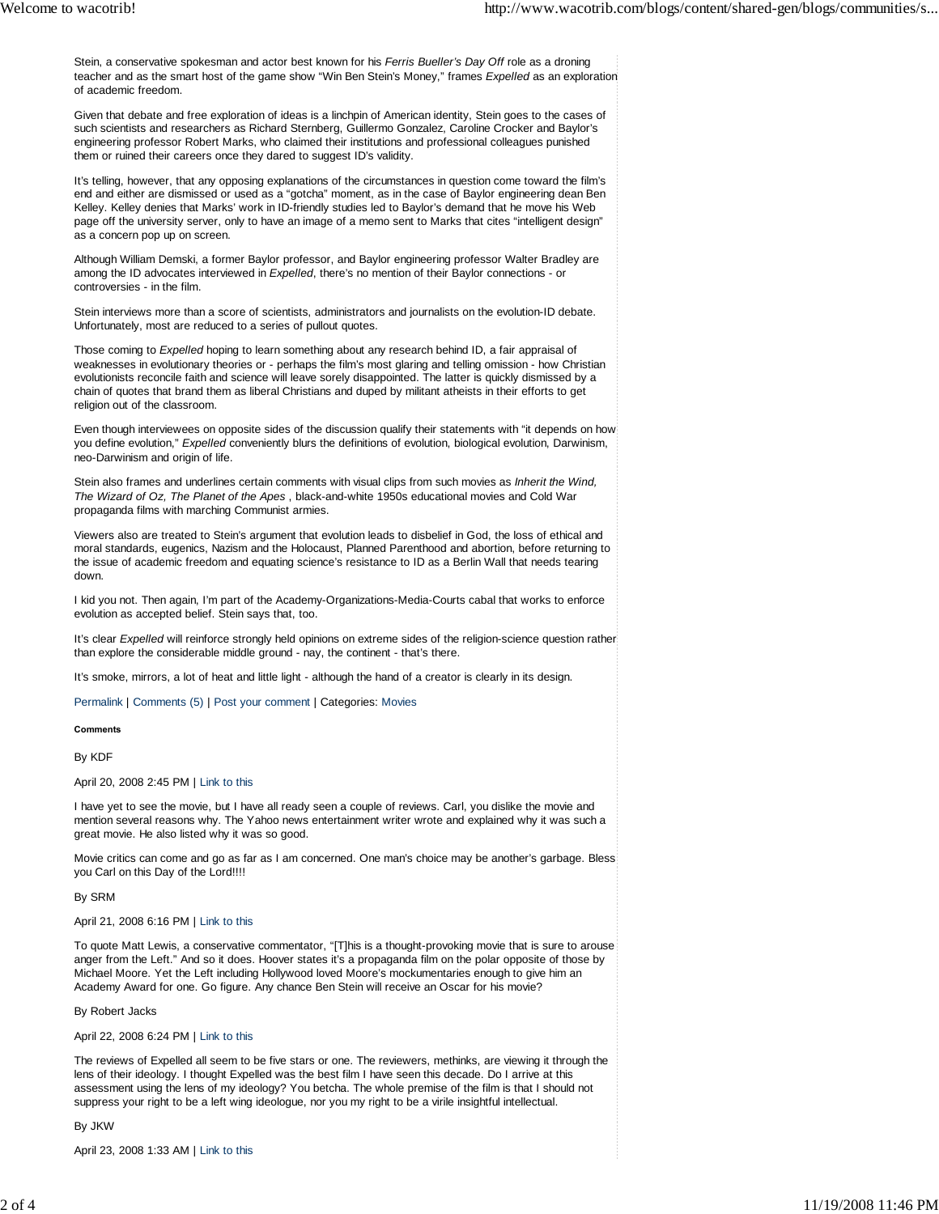Stein, a conservative spokesman and actor best known for his *Ferris Bueller's Day Off* role as a droning teacher and as the smart host of the game show "Win Ben Stein's Money," frames *Expelled* as an exploration of academic freedom.

Given that debate and free exploration of ideas is a linchpin of American identity, Stein goes to the cases of such scientists and researchers as Richard Sternberg, Guillermo Gonzalez, Caroline Crocker and Baylor's engineering professor Robert Marks, who claimed their institutions and professional colleagues punished them or ruined their careers once they dared to suggest ID's validity.

It's telling, however, that any opposing explanations of the circumstances in question come toward the film's end and either are dismissed or used as a "gotcha" moment, as in the case of Baylor engineering dean Ben Kelley. Kelley denies that Marks' work in ID-friendly studies led to Baylor's demand that he move his Web page off the university server, only to have an image of a memo sent to Marks that cites "intelligent design" as a concern pop up on screen.

Although William Demski, a former Baylor professor, and Baylor engineering professor Walter Bradley are among the ID advocates interviewed in *Expelled*, there's no mention of their Baylor connections - or controversies - in the film.

Stein interviews more than a score of scientists, administrators and journalists on the evolution-ID debate. Unfortunately, most are reduced to a series of pullout quotes.

Those coming to *Expelled* hoping to learn something about any research behind ID, a fair appraisal of weaknesses in evolutionary theories or - perhaps the film's most glaring and telling omission - how Christian evolutionists reconcile faith and science will leave sorely disappointed. The latter is quickly dismissed by a chain of quotes that brand them as liberal Christians and duped by militant atheists in their efforts to get religion out of the classroom.

Even though interviewees on opposite sides of the discussion qualify their statements with "it depends on how you define evolution," *Expelled* conveniently blurs the definitions of evolution, biological evolution, Darwinism, neo-Darwinism and origin of life.

Stein also frames and underlines certain comments with visual clips from such movies as *Inherit the Wind, The Wizard of Oz, The Planet of the Apes* , black-and-white 1950s educational movies and Cold War propaganda films with marching Communist armies.

Viewers also are treated to Stein's argument that evolution leads to disbelief in God, the loss of ethical and moral standards, eugenics, Nazism and the Holocaust, Planned Parenthood and abortion, before returning to the issue of academic freedom and equating science's resistance to ID as a Berlin Wall that needs tearing down.

I kid you not. Then again, I'm part of the Academy-Organizations-Media-Courts cabal that works to enforce evolution as accepted belief. Stein says that, too.

It's clear *Expelled* will reinforce strongly held opinions on extreme sides of the religion-science question rather than explore the considerable middle ground - nay, the continent - that's there.

It's smoke, mirrors, a lot of heat and little light - although the hand of a creator is clearly in its design.

Permalink | Comments (5) | Post your comment | Categories: Movies

**Comments**

By KDF

April 20, 2008 2:45 PM | Link to this

I have yet to see the movie, but I have all ready seen a couple of reviews. Carl, you dislike the movie and mention several reasons why. The Yahoo news entertainment writer wrote and explained why it was such a great movie. He also listed why it was so good.

Movie critics can come and go as far as I am concerned. One man's choice may be another's garbage. Bless you Carl on this Day of the Lord!!!!

By SRM

April 21, 2008 6:16 PM | Link to this

To quote Matt Lewis, a conservative commentator, "[T]his is a thought-provoking movie that is sure to arouse anger from the Left." And so it does. Hoover states it's a propaganda film on the polar opposite of those by Michael Moore. Yet the Left including Hollywood loved Moore's mockumentaries enough to give him an Academy Award for one. Go figure. Any chance Ben Stein will receive an Oscar for his movie?

By Robert Jacks

April 22, 2008 6:24 PM | Link to this

The reviews of Expelled all seem to be five stars or one. The reviewers, methinks, are viewing it through the lens of their ideology. I thought Expelled was the best film I have seen this decade. Do I arrive at this assessment using the lens of my ideology? You betcha. The whole premise of the film is that I should not suppress your right to be a left wing ideologue, nor you my right to be a virile insightful intellectual.

By JKW

April 23, 2008 1:33 AM | Link to this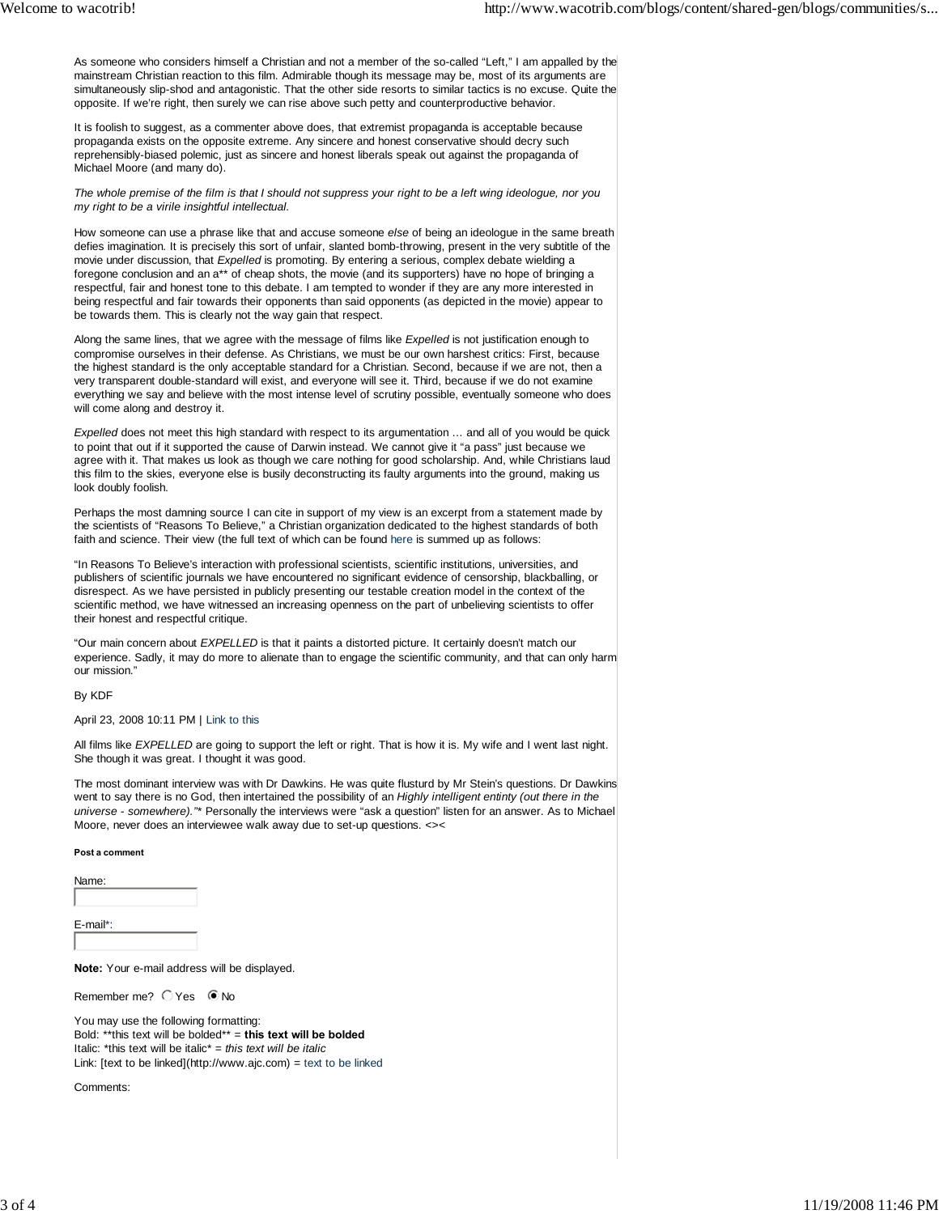As someone who considers himself a Christian and not a member of the so-called "Left," I am appalled by the mainstream Christian reaction to this film. Admirable though its message may be, most of its arguments are simultaneously slip-shod and antagonistic. That the other side resorts to similar tactics is no excuse. Quite the opposite. If we're right, then surely we can rise above such petty and counterproductive behavior.

It is foolish to suggest, as a commenter above does, that extremist propaganda is acceptable because propaganda exists on the opposite extreme. Any sincere and honest conservative should decry such reprehensibly-biased polemic, just as sincere and honest liberals speak out against the propaganda of Michael Moore (and many do).

*The whole premise of the film is that I should not suppress your right to be a left wing ideologue, nor you my right to be a virile insightful intellectual.*

How someone can use a phrase like that and accuse someone *else* of being an ideologue in the same breath defies imagination. It is precisely this sort of unfair, slanted bomb-throwing, present in the very subtitle of the movie under discussion, that *Expelled* is promoting. By entering a serious, complex debate wielding a foregone conclusion and an a\*\* of cheap shots, the movie (and its supporters) have no hope of bringing a respectful, fair and honest tone to this debate. I am tempted to wonder if they are any more interested in being respectful and fair towards their opponents than said opponents (as depicted in the movie) appear to be towards them. This is clearly not the way gain that respect.

Along the same lines, that we agree with the message of films like *Expelled* is not justification enough to compromise ourselves in their defense. As Christians, we must be our own harshest critics: First, because the highest standard is the only acceptable standard for a Christian. Second, because if we are not, then a very transparent double-standard will exist, and everyone will see it. Third, because if we do not examine everything we say and believe with the most intense level of scrutiny possible, eventually someone who does will come along and destroy it.

*Expelled* does not meet this high standard with respect to its argumentation … and all of you would be quick to point that out if it supported the cause of Darwin instead. We cannot give it "a pass" just because we agree with it. That makes us look as though we care nothing for good scholarship. And, while Christians laud this film to the skies, everyone else is busily deconstructing its faulty arguments into the ground, making us look doubly foolish.

Perhaps the most damning source I can cite in support of my view is an excerpt from a statement made by the scientists of "Reasons To Believe," a Christian organization dedicated to the highest standards of both faith and science. Their view (the full text of which can be found here is summed up as follows:

"In Reasons To Believe's interaction with professional scientists, scientific institutions, universities, and publishers of scientific journals we have encountered no significant evidence of censorship, blackballing, or disrespect. As we have persisted in publicly presenting our testable creation model in the context of the scientific method, we have witnessed an increasing openness on the part of unbelieving scientists to offer their honest and respectful critique.

"Our main concern about *EXPELLED* is that it paints a distorted picture. It certainly doesn't match our experience. Sadly, it may do more to alienate than to engage the scientific community, and that can only harm our mission."

By KDF

## April 23, 2008 10:11 PM | Link to this

All films like *EXPELLED* are going to support the left or right. That is how it is. My wife and I went last night. She though it was great. I thought it was good.

The most dominant interview was with Dr Dawkins. He was quite flusturd by Mr Stein's questions. Dr Dawkins went to say there is no God, then intertained the possibility of an *Highly intelligent entinty (out there in the universe - somewhere)."*\* Personally the interviews were "ask a question" listen for an answer. As to Michael Moore, never does an interviewee walk away due to set-up questions. <><

## **Post a comment**

Name:

E-mail\*:

**Note:** Your e-mail address will be displayed.

Remember me? O Yes O No

You may use the following formatting: Bold: \*\*this text will be bolded\*\* = **this text will be bolded** Italic: \*this text will be italic\* = *this text will be italic* Link: [text to be linked](http://www.ajc.com) = text to be linked

Comments: